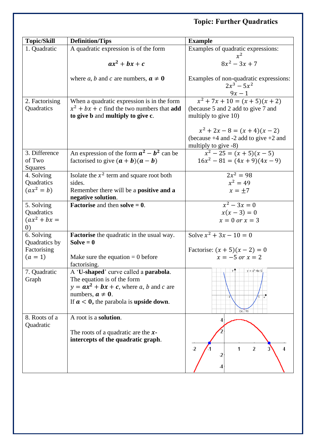## **Topic: Further Quadratics**

| <b>Topic/Skill</b>                 | <b>Definition/Tips</b>                                                                   | <b>Example</b>                                                                                                                        |
|------------------------------------|------------------------------------------------------------------------------------------|---------------------------------------------------------------------------------------------------------------------------------------|
| 1. Quadratic                       | A quadratic expression is of the form                                                    | Examples of quadratic expressions:                                                                                                    |
|                                    | $ax^2 + bx + c$                                                                          | $x^2$<br>$8x^2 - 3x + 7$                                                                                                              |
|                                    | where a, b and c are numbers, $a \neq 0$                                                 | Examples of non-quadratic expressions:<br>$2x^3 - 5x^2$                                                                               |
| 2. Factorising                     | When a quadratic expression is in the form                                               | $\frac{9x-1}{x^2+7x+10=(x+5)(x+2)}$                                                                                                   |
| Quadratics                         | $x^2 + bx + c$ find the two numbers that <b>add</b><br>to give b and multiply to give c. | (because 5 and 2 add to give 7 and<br>multiply to give 10)                                                                            |
|                                    |                                                                                          | $x^2 + 2x - 8 = (x + 4)(x - 2)$<br>(because $+4$ and $-2$ add to give $+2$ and<br>multiply to give -8)<br>$x^2 - 25 = (x + 5)(x - 5)$ |
| 3. Difference<br>of Two<br>Squares | An expression of the form $a^2 - b^2$ can be<br>factorised to give $(a + b)(a - b)$      | $16x^2 - 81 = (4x + 9)(4x - 9)$                                                                                                       |
| 4. Solving                         | Isolate the $x^2$ term and square root both                                              | $2x^2 = 98$                                                                                                                           |
| Quadratics                         | sides.                                                                                   | $x^2 = 49$                                                                                                                            |
| $(ax^2 = b)$                       | Remember there will be a positive and a                                                  | $x = \pm 7$                                                                                                                           |
| 5. Solving                         | negative solution.<br><b>Factorise</b> and then solve $= 0$ .                            | $x^2 - 3x = 0$                                                                                                                        |
| Quadratics                         |                                                                                          | $x(x-3) = 0$                                                                                                                          |
| $(ax^2 + bx =$                     |                                                                                          | $x = 0$ or $x = 3$                                                                                                                    |
| $\left( 0\right)$                  |                                                                                          |                                                                                                                                       |
| 6. Solving<br>Quadratics by        | <b>Factorise</b> the quadratic in the usual way.<br>Solve $= 0$                          | Solve $x^2 + 3x - 10 = 0$                                                                                                             |
| Factorising                        |                                                                                          | Factorise: $(x + 5)(x - 2) = 0$                                                                                                       |
| $(a = 1)$                          | Make sure the equation $= 0$ before<br>factorising.                                      | $x = -5$ or $x = 2$                                                                                                                   |
| 7. Quadratic                       | A 'U-shaped' curve called a parabola.                                                    | $y = x^2-4x-5$<br>уŤ                                                                                                                  |
| Graph                              | The equation is of the form                                                              |                                                                                                                                       |
|                                    | $y = ax^2 + bx + c$ , where a, b and c are                                               |                                                                                                                                       |
|                                    | numbers, $a \neq 0$ .                                                                    |                                                                                                                                       |
|                                    | If $a < 0$ , the parabola is <b>upside down</b> .                                        | $(2, -9)$                                                                                                                             |
| 8. Roots of a<br>Quadratic         | A root is a solution.                                                                    |                                                                                                                                       |
|                                    | The roots of a quadratic are the $x$ -                                                   |                                                                                                                                       |
|                                    | intercepts of the quadratic graph.                                                       | $\overline{2}$<br>$\overline{2}$<br>1<br>4<br>-2                                                                                      |
|                                    |                                                                                          |                                                                                                                                       |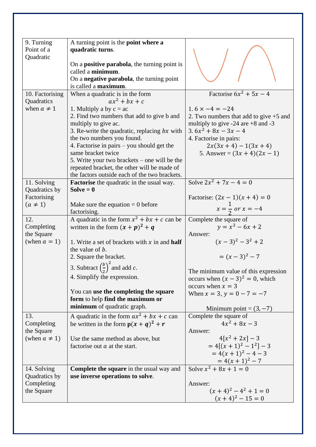| 9. Turning               | A turning point is the <b>point where a</b>                          |                                                                   |
|--------------------------|----------------------------------------------------------------------|-------------------------------------------------------------------|
| Point of a               | quadratic turns.                                                     |                                                                   |
| Quadratic                |                                                                      |                                                                   |
|                          | On a <b>positive parabola</b> , the turning point is                 |                                                                   |
|                          | called a minimum.                                                    |                                                                   |
|                          | On a negative parabola, the turning point                            |                                                                   |
|                          | is called a maximum.                                                 |                                                                   |
| 10. Factorising          | When a quadratic is in the form                                      | Factorise $6x^2 + 5x - 4$                                         |
| Quadratics               | $ax^2 + bx + c$                                                      |                                                                   |
| when $a \neq 1$          | 1. Multiply a by $c = ac$                                            | $1.6 \times -4 = -24$                                             |
|                          | 2. Find two numbers that add to give b and                           | 2. Two numbers that add to give $+5$ and                          |
|                          | multiply to give ac.                                                 | multiply to give $-24$ are $+8$ and $-3$                          |
|                          | 3. Re-write the quadratic, replacing $bx$ with                       | $3.6x^2 + 8x - 3x - 4$                                            |
|                          | the two numbers you found.                                           | 4. Factorise in pairs:                                            |
|                          | 4. Factorise in pairs – you should get the                           | $2x(3x+4)-1(3x+4)$                                                |
|                          | same bracket twice                                                   | 5. Answer = $(3x + 4)(2x - 1)$                                    |
|                          | 5. Write your two brackets $-$ one will be the                       |                                                                   |
|                          | repeated bracket, the other will be made of                          |                                                                   |
|                          | the factors outside each of the two brackets.                        |                                                                   |
| 11. Solving              | <b>Factorise</b> the quadratic in the usual way.                     | Solve $2x^2 + 7x - 4 = 0$                                         |
| Quadratics by            | Solve $= 0$                                                          |                                                                   |
| Factorising              |                                                                      |                                                                   |
| $(a \neq 1)$             | Make sure the equation $= 0$ before                                  | Factorise: $(2x - 1)(x + 4) = 0$<br>$x = \frac{1}{2}$ or $x = -4$ |
|                          | factorising.                                                         |                                                                   |
| 12.                      | A quadratic in the form $x^2 + bx + c$ can be                        | Complete the square of                                            |
| Completing               | written in the form $(x + p)^2 + q$                                  | $y = x^2 - 6x + 2$                                                |
| the Square               |                                                                      | Answer:                                                           |
| (when $a = 1$ )          | 1. Write a set of brackets with $x$ in and <b>half</b>               | $(x-3)^2-3^2+2$                                                   |
|                          | the value of b.                                                      |                                                                   |
|                          | 2. Square the bracket.                                               | $=(x-3)^2-7$                                                      |
|                          | 3. Subtract $\left(\frac{b}{2}\right)^2$ and add c.                  |                                                                   |
|                          | 4. Simplify the expression.                                          | The minimum value of this expression                              |
|                          |                                                                      | occurs when $(x - 3)^2 = 0$ , which<br>occurs when $x = 3$        |
|                          | You can use the completing the square                                | When $x = 3$ , $y = 0 - 7 = -7$                                   |
|                          | form to help find the maximum or                                     |                                                                   |
|                          | minimum of quadratic graph.                                          | Minimum point = $(3, -7)$                                         |
| 13.                      | A quadratic in the form $ax^2 + bx + c$ can                          | Complete the square of                                            |
| Completing               | be written in the form $p(x + q)^2 + r$                              | $4x^2 + 8x - 3$                                                   |
| the Square               |                                                                      | Answer:                                                           |
| (when $a \neq 1$ )       |                                                                      | $4[x^2+2x]-3$                                                     |
|                          | Use the same method as above, but<br>factorise out $a$ at the start. | $= 4[(x + 1)^{2} - 1^{2}] - 3$                                    |
|                          |                                                                      | $= 4(x + 1)^{2} - 4 - 3$                                          |
|                          |                                                                      |                                                                   |
| 14. Solving              | <b>Complete the square</b> in the usual way and                      | $= 4(x + 1)^2 - 7$<br>Solve $x^2 + 8x + 1 = 0$                    |
| Quadratics by            | use inverse operations to solve.                                     |                                                                   |
|                          |                                                                      |                                                                   |
| Completing<br>the Square |                                                                      | Answer:<br>$(x+4)^2-4^2+1=0$                                      |
|                          |                                                                      |                                                                   |
|                          |                                                                      | $(x+4)^2 - 15 = 0$                                                |